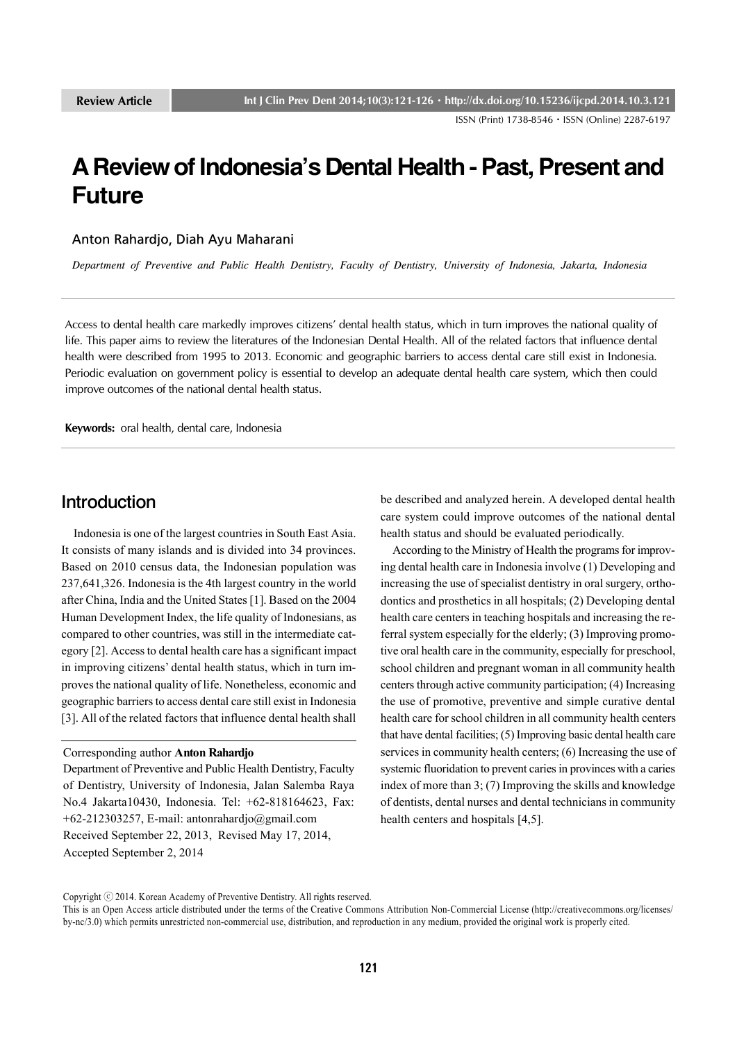ISSN (Print) 1738-8546ㆍISSN (Online) 2287-6197

# **A Review of Indonesia's Dental Health - Past, Present and Future**

Anton Rahardjo, Diah Ayu Maharani

*Department of Preventive and Public Health Dentistry, Faculty of Dentistry, University of Indonesia, Jakarta, Indonesia*

Access to dental health care markedly improves citizens' dental health status, which in turn improves the national quality of life. This paper aims to review the literatures of the Indonesian Dental Health. All of the related factors that influence dental health were described from 1995 to 2013. Economic and geographic barriers to access dental care still exist in Indonesia. Periodic evaluation on government policy is essential to develop an adequate dental health care system, which then could improve outcomes of the national dental health status.

**Keywords:** oral health, dental care, Indonesia

### Introduction

 Indonesia is one of the largest countries in South East Asia. It consists of many islands and is divided into 34 provinces. Based on 2010 census data, the Indonesian population was 237,641,326. Indonesia is the 4th largest country in the world after China, India and the United States [1]. Based on the 2004 Human Development Index, the life quality of Indonesians, as compared to other countries, was still in the intermediate category [2]. Access to dental health care has a significant impact in improving citizens' dental health status, which in turn improves the national quality of life. Nonetheless, economic and geographic barriers to access dental care still exist in Indonesia [3]. All of the related factors that influence dental health shall

#### Corresponding author **Anton Rahardjo**

Department of Preventive and Public Health Dentistry, Faculty of Dentistry, University of Indonesia, Jalan Salemba Raya No.4 Jakarta10430, Indonesia. Tel: +62-818164623, Fax:  $+62-212303257$ , E-mail: antonrahardjo@gmail.com Received September 22, 2013, Revised May 17, 2014, Accepted September 2, 2014

be described and analyzed herein. A developed dental health care system could improve outcomes of the national dental health status and should be evaluated periodically.

 According to the Ministry of Health the programs for improving dental health care in Indonesia involve (1) Developing and increasing the use of specialist dentistry in oral surgery, orthodontics and prosthetics in all hospitals; (2) Developing dental health care centers in teaching hospitals and increasing the referral system especially for the elderly; (3) Improving promotive oral health care in the community, especially for preschool, school children and pregnant woman in all community health centers through active community participation; (4) Increasing the use of promotive, preventive and simple curative dental health care for school children in all community health centers that have dental facilities; (5) Improving basic dental health care services in community health centers; (6) Increasing the use of systemic fluoridation to prevent caries in provinces with a caries index of more than 3; (7) Improving the skills and knowledge of dentists, dental nurses and dental technicians in community health centers and hospitals [4,5].

Copyright ⓒ 2014. Korean Academy of Preventive Dentistry. All rights reserved.

This is an Open Access article distributed under the terms of the Creative Commons Attribution Non-Commercial License (http://creativecommons.org/licenses/ by-nc/3.0) which permits unrestricted non-commercial use, distribution, and reproduction in any medium, provided the original work is properly cited.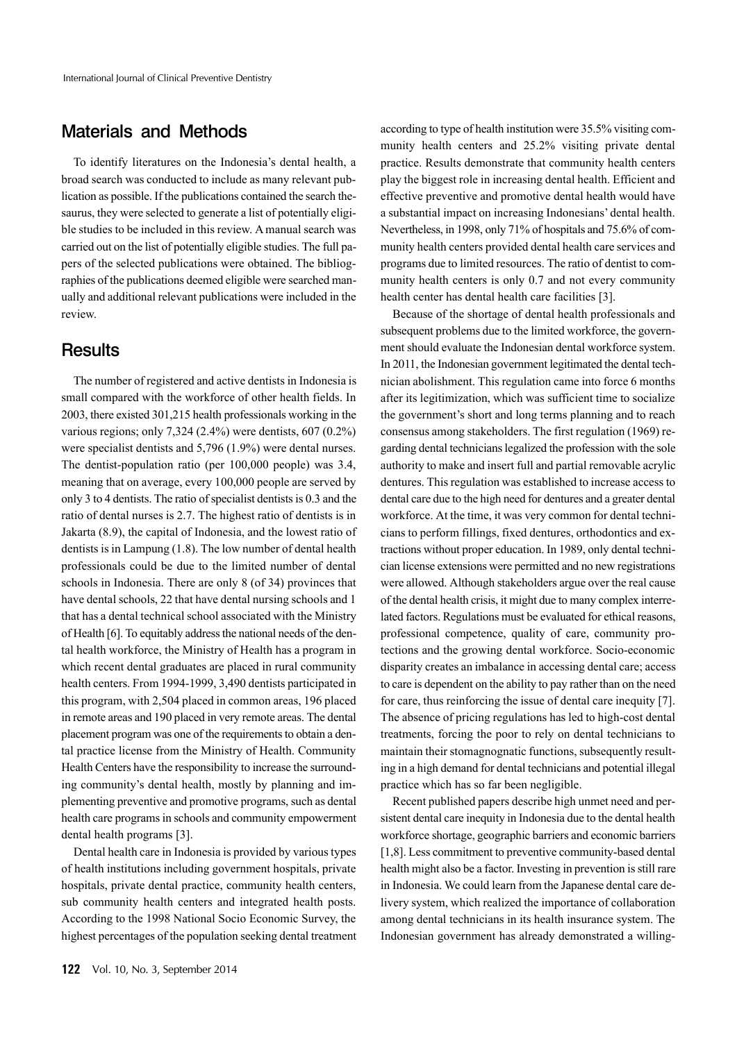## Materials and Methods

 To identify literatures on the Indonesia's dental health, a broad search was conducted to include as many relevant publication as possible. If the publications contained the search thesaurus, they were selected to generate a list of potentially eligible studies to be included in this review. A manual search was carried out on the list of potentially eligible studies. The full papers of the selected publications were obtained. The bibliographies of the publications deemed eligible were searched manually and additional relevant publications were included in the review.

#### **Results**

 The number of registered and active dentists in Indonesia is small compared with the workforce of other health fields. In 2003, there existed 301,215 health professionals working in the various regions; only 7,324 (2.4%) were dentists, 607 (0.2%) were specialist dentists and 5,796 (1.9%) were dental nurses. The dentist-population ratio (per 100,000 people) was 3.4, meaning that on average, every 100,000 people are served by only 3 to 4 dentists. The ratio of specialist dentists is 0.3 and the ratio of dental nurses is 2.7. The highest ratio of dentists is in Jakarta (8.9), the capital of Indonesia, and the lowest ratio of dentists is in Lampung (1.8). The low number of dental health professionals could be due to the limited number of dental schools in Indonesia. There are only 8 (of 34) provinces that have dental schools, 22 that have dental nursing schools and 1 that has a dental technical school associated with the Ministry of Health [6]. To equitably address the national needs of the dental health workforce, the Ministry of Health has a program in which recent dental graduates are placed in rural community health centers. From 1994-1999, 3,490 dentists participated in this program, with 2,504 placed in common areas, 196 placed in remote areas and 190 placed in very remote areas. The dental placement program was one of the requirements to obtain a dental practice license from the Ministry of Health. Community Health Centers have the responsibility to increase the surrounding community's dental health, mostly by planning and implementing preventive and promotive programs, such as dental health care programs in schools and community empowerment dental health programs [3].

 Dental health care in Indonesia is provided by various types of health institutions including government hospitals, private hospitals, private dental practice, community health centers, sub community health centers and integrated health posts. According to the 1998 National Socio Economic Survey, the highest percentages of the population seeking dental treatment according to type of health institution were 35.5% visiting community health centers and 25.2% visiting private dental practice. Results demonstrate that community health centers play the biggest role in increasing dental health. Efficient and effective preventive and promotive dental health would have a substantial impact on increasing Indonesians' dental health. Nevertheless, in 1998, only 71% of hospitals and 75.6% of community health centers provided dental health care services and programs due to limited resources. The ratio of dentist to community health centers is only 0.7 and not every community health center has dental health care facilities [3].

 Because of the shortage of dental health professionals and subsequent problems due to the limited workforce, the government should evaluate the Indonesian dental workforce system. In 2011, the Indonesian government legitimated the dental technician abolishment. This regulation came into force 6 months after its legitimization, which was sufficient time to socialize the government's short and long terms planning and to reach consensus among stakeholders. The first regulation (1969) regarding dental technicians legalized the profession with the sole authority to make and insert full and partial removable acrylic dentures. This regulation was established to increase access to dental care due to the high need for dentures and a greater dental workforce. At the time, it was very common for dental technicians to perform fillings, fixed dentures, orthodontics and extractions without proper education. In 1989, only dental technician license extensions were permitted and no new registrations were allowed. Although stakeholders argue over the real cause of the dental health crisis, it might due to many complex interrelated factors. Regulations must be evaluated for ethical reasons, professional competence, quality of care, community protections and the growing dental workforce. Socio-economic disparity creates an imbalance in accessing dental care; access to care is dependent on the ability to pay rather than on the need for care, thus reinforcing the issue of dental care inequity [7]. The absence of pricing regulations has led to high-cost dental treatments, forcing the poor to rely on dental technicians to maintain their stomagnognatic functions, subsequently resulting in a high demand for dental technicians and potential illegal practice which has so far been negligible.

 Recent published papers describe high unmet need and persistent dental care inequity in Indonesia due to the dental health workforce shortage, geographic barriers and economic barriers [1,8]. Less commitment to preventive community-based dental health might also be a factor. Investing in prevention is still rare in Indonesia. We could learn from the Japanese dental care delivery system, which realized the importance of collaboration among dental technicians in its health insurance system. The Indonesian government has already demonstrated a willing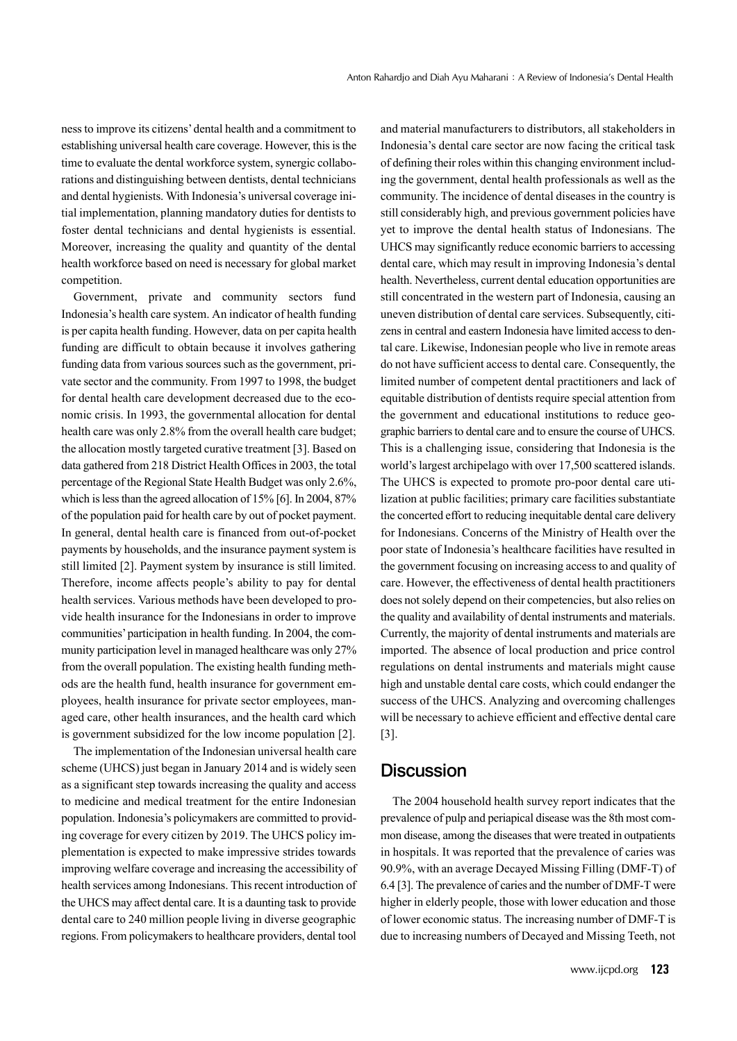ness to improve its citizens' dental health and a commitment to establishing universal health care coverage. However, this is the time to evaluate the dental workforce system, synergic collaborations and distinguishing between dentists, dental technicians and dental hygienists. With Indonesia's universal coverage initial implementation, planning mandatory duties for dentists to foster dental technicians and dental hygienists is essential. Moreover, increasing the quality and quantity of the dental health workforce based on need is necessary for global market competition.

 Government, private and community sectors fund Indonesia's health care system. An indicator of health funding is per capita health funding. However, data on per capita health funding are difficult to obtain because it involves gathering funding data from various sources such as the government, private sector and the community. From 1997 to 1998, the budget for dental health care development decreased due to the economic crisis. In 1993, the governmental allocation for dental health care was only 2.8% from the overall health care budget; the allocation mostly targeted curative treatment [3]. Based on data gathered from 218 District Health Offices in 2003, the total percentage of the Regional State Health Budget was only 2.6%, which is less than the agreed allocation of 15% [6]. In 2004, 87% of the population paid for health care by out of pocket payment. In general, dental health care is financed from out-of-pocket payments by households, and the insurance payment system is still limited [2]. Payment system by insurance is still limited. Therefore, income affects people's ability to pay for dental health services. Various methods have been developed to provide health insurance for the Indonesians in order to improve communities' participation in health funding. In 2004, the community participation level in managed healthcare was only 27% from the overall population. The existing health funding methods are the health fund, health insurance for government employees, health insurance for private sector employees, managed care, other health insurances, and the health card which is government subsidized for the low income population [2].

 The implementation of the Indonesian universal health care scheme (UHCS) just began in January 2014 and is widely seen as a significant step towards increasing the quality and access to medicine and medical treatment for the entire Indonesian population. Indonesia's policymakers are committed to providing coverage for every citizen by 2019. The UHCS policy implementation is expected to make impressive strides towards improving welfare coverage and increasing the accessibility of health services among Indonesians. This recent introduction of the UHCS may affect dental care. It is a daunting task to provide dental care to 240 million people living in diverse geographic regions. From policymakers to healthcare providers, dental tool

and material manufacturers to distributors, all stakeholders in Indonesia's dental care sector are now facing the critical task of defining their roles within this changing environment including the government, dental health professionals as well as the community. The incidence of dental diseases in the country is still considerably high, and previous government policies have yet to improve the dental health status of Indonesians. The UHCS may significantly reduce economic barriers to accessing dental care, which may result in improving Indonesia's dental health. Nevertheless, current dental education opportunities are still concentrated in the western part of Indonesia, causing an uneven distribution of dental care services. Subsequently, citizens in central and eastern Indonesia have limited access to dental care. Likewise, Indonesian people who live in remote areas do not have sufficient access to dental care. Consequently, the limited number of competent dental practitioners and lack of equitable distribution of dentists require special attention from the government and educational institutions to reduce geographic barriers to dental care and to ensure the course of UHCS. This is a challenging issue, considering that Indonesia is the world's largest archipelago with over 17,500 scattered islands. The UHCS is expected to promote pro-poor dental care utilization at public facilities; primary care facilities substantiate the concerted effort to reducing inequitable dental care delivery for Indonesians. Concerns of the Ministry of Health over the poor state of Indonesia's healthcare facilities have resulted in the government focusing on increasing access to and quality of care. However, the effectiveness of dental health practitioners does not solely depend on their competencies, but also relies on the quality and availability of dental instruments and materials. Currently, the majority of dental instruments and materials are imported. The absence of local production and price control regulations on dental instruments and materials might cause high and unstable dental care costs, which could endanger the success of the UHCS. Analyzing and overcoming challenges will be necessary to achieve efficient and effective dental care [3].

## **Discussion**

 The 2004 household health survey report indicates that the prevalence of pulp and periapical disease was the 8th most common disease, among the diseases that were treated in outpatients in hospitals. It was reported that the prevalence of caries was 90.9%, with an average Decayed Missing Filling (DMF-T) of 6.4 [3]. The prevalence of caries and the number of DMF-T were higher in elderly people, those with lower education and those of lower economic status. The increasing number of DMF-T is due to increasing numbers of Decayed and Missing Teeth, not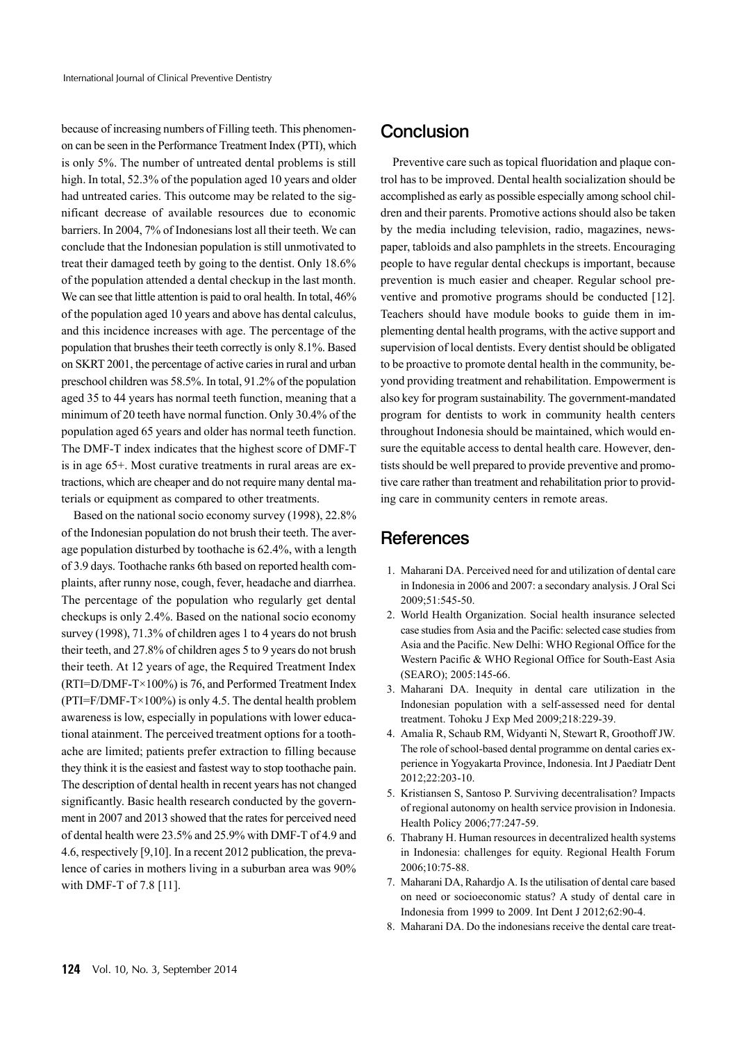because of increasing numbers of Filling teeth. This phenomenon can be seen in the Performance Treatment Index (PTI), which is only 5%. The number of untreated dental problems is still high. In total, 52.3% of the population aged 10 years and older had untreated caries. This outcome may be related to the significant decrease of available resources due to economic barriers. In 2004, 7% of Indonesians lost all their teeth. We can conclude that the Indonesian population is still unmotivated to treat their damaged teeth by going to the dentist. Only 18.6% of the population attended a dental checkup in the last month. We can see that little attention is paid to oral health. In total, 46% of the population aged 10 years and above has dental calculus, and this incidence increases with age. The percentage of the population that brushes their teeth correctly is only 8.1%. Based on SKRT 2001, the percentage of active caries in rural and urban preschool children was 58.5%. In total, 91.2% of the population aged 35 to 44 years has normal teeth function, meaning that a minimum of 20 teeth have normal function. Only 30.4% of the population aged 65 years and older has normal teeth function. The DMF-T index indicates that the highest score of DMF-T is in age 65+. Most curative treatments in rural areas are extractions, which are cheaper and do not require many dental materials or equipment as compared to other treatments.

 Based on the national socio economy survey (1998), 22.8% of the Indonesian population do not brush their teeth. The average population disturbed by toothache is 62.4%, with a length of 3.9 days. Toothache ranks 6th based on reported health complaints, after runny nose, cough, fever, headache and diarrhea. The percentage of the population who regularly get dental checkups is only 2.4%. Based on the national socio economy survey (1998), 71.3% of children ages 1 to 4 years do not brush their teeth, and 27.8% of children ages 5 to 9 years do not brush their teeth. At 12 years of age, the Required Treatment Index (RTI=D/DMF-T×100%) is 76, and Performed Treatment Index  $(PTI=F/DMF-T\times100\%)$  is only 4.5. The dental health problem awareness is low, especially in populations with lower educational atainment. The perceived treatment options for a toothache are limited; patients prefer extraction to filling because they think it is the easiest and fastest way to stop toothache pain. The description of dental health in recent years has not changed significantly. Basic health research conducted by the government in 2007 and 2013 showed that the rates for perceived need of dental health were 23.5% and 25.9% with DMF-T of 4.9 and 4.6, respectively [9,10]. In a recent 2012 publication, the prevalence of caries in mothers living in a suburban area was 90% with DMF-T of 7.8 [11].

## **Conclusion**

 Preventive care such as topical fluoridation and plaque control has to be improved. Dental health socialization should be accomplished as early as possible especially among school children and their parents. Promotive actions should also be taken by the media including television, radio, magazines, newspaper, tabloids and also pamphlets in the streets. Encouraging people to have regular dental checkups is important, because prevention is much easier and cheaper. Regular school preventive and promotive programs should be conducted [12]. Teachers should have module books to guide them in implementing dental health programs, with the active support and supervision of local dentists. Every dentist should be obligated to be proactive to promote dental health in the community, beyond providing treatment and rehabilitation. Empowerment is also key for program sustainability. The government-mandated program for dentists to work in community health centers throughout Indonesia should be maintained, which would ensure the equitable access to dental health care. However, dentists should be well prepared to provide preventive and promotive care rather than treatment and rehabilitation prior to providing care in community centers in remote areas.

## **References**

- 1. Maharani DA. Perceived need for and utilization of dental care in Indonesia in 2006 and 2007: a secondary analysis. J Oral Sci 2009;51:545-50.
- 2. World Health Organization. Social health insurance selected case studies from Asia and the Pacific: selected case studies from Asia and the Pacific. New Delhi: WHO Regional Office for the Western Pacific & WHO Regional Office for South-East Asia (SEARO); 2005:145-66.
- 3. Maharani DA. Inequity in dental care utilization in the Indonesian population with a self-assessed need for dental treatment. Tohoku J Exp Med 2009;218:229-39.
- 4. Amalia R, Schaub RM, Widyanti N, Stewart R, Groothoff JW. The role of school-based dental programme on dental caries experience in Yogyakarta Province, Indonesia. Int J Paediatr Dent 2012;22:203-10.
- 5. Kristiansen S, Santoso P. Surviving decentralisation? Impacts of regional autonomy on health service provision in Indonesia. Health Policy 2006;77:247-59.
- 6. Thabrany H. Human resources in decentralized health systems in Indonesia: challenges for equity. Regional Health Forum 2006;10:75-88.
- 7. Maharani DA, Rahardjo A. Is the utilisation of dental care based on need or socioeconomic status? A study of dental care in Indonesia from 1999 to 2009. Int Dent J 2012;62:90-4.
- 8. Maharani DA. Do the indonesians receive the dental care treat-